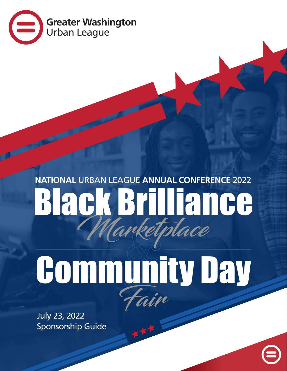

# Black Brilliance **NATIONAL** URBAN LEAGUE **ANNUAL CONFERENCE** 2022 Marketplace

# Fair Community Day

July 23, 2022 Sponsorship Guide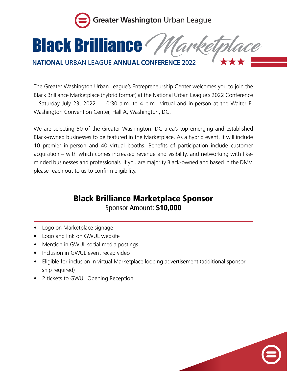

### **Black Brilliance**

#### **NATIONAL** URBAN LEAGUE **ANNUAL CONFERENCE** 2022

The Greater Washington Urban League's Entrepreneurship Center welcomes you to join the Black Brilliance Marketplace (hybrid format) at the National Urban League's 2022 Conference – Saturday July 23, 2022 – 10:30 a.m. to 4 p.m., virtual and in-person at the Walter E. Washington Convention Center, Hall A, Washington, DC.

We are selecting 50 of the Greater Washington, DC area's top emerging and established Black-owned businesses to be featured in the Marketplace. As a hybrid event, it will include 10 premier in-person and 40 virtual booths. Benefits of participation include customer acquisition – with which comes increased revenue and visibility, and networking with likeminded businesses and professionals. If you are majority Black-owned and based in the DMV, please reach out to us to confirm eligibility.

#### Black Brilliance Marketplace Sponsor Sponsor Amount: \$10,000

- Logo on Marketplace signage
- Logo and link on GWUL website
- Mention in GWUL social media postings
- Inclusion in GWUL event recap video
- Eligible for inclusion in virtual Marketplace looping advertisement (additional sponsorship required)
- 2 tickets to GWUL Opening Reception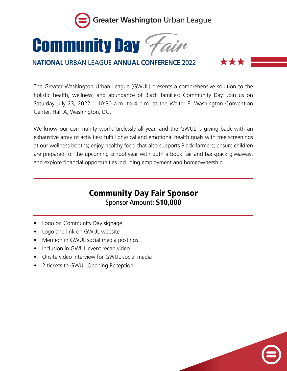

## **Community Day** *Hair*

#### **NATIONAL** URBAN LEAGUE **ANNUAL CONFERENCE** 2022

\*\*\*

The Greater Washington Urban League (GWUL) presents a comprehensive solution to the holistic health, wellness, and abundance of Black families: Community Day. Join us on Saturday July 23, 2022 – 10:30 a.m. to 4 p.m. at the Walter E. Washington Convention Center, Hall A, Washington, DC.

We know our community works tirelessly all year, and the GWUL is giving back with an exhaustive array of activities: fulfill physical and emotional health goals with free screenings at our wellness booths; enjoy healthy food that also supports Black farmers; ensure children are prepared for the upcoming school year with both a book fair and backpack giveaway; and explore financial opportunities including employment and homeownership.

#### Community Day Fair Sponsor Sponsor Amount: \$10,000

- Logo on Community Day signage
- Logo and link on GWUL website
- Mention in GWUL social media postings
- Inclusion in GWUL event recap video
- Onsite video interview for GWUL social media
- 2 tickets to GWUL Opening Reception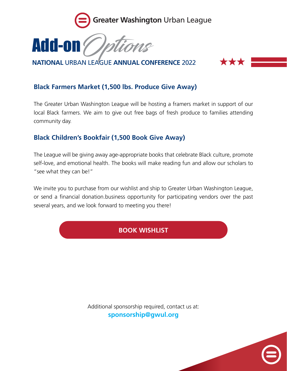



**NATIONAL** URBAN LEAGUE **ANNUAL CONFERENCE** 2022

#### **XXXX**

#### **Black Farmers Market (1,500 lbs. Produce Give Away)**

The Greater Urban Washington League will be hosting a framers market in support of our local Black farmers. We aim to give out free bags of fresh produce to families attending community day.

#### **Black Children's Bookfair (1,500 Book Give Away)**

The League will be giving away age-appropriate books that celebrate Black culture, promote self-love, and emotional health. The books will make reading fun and allow our scholars to "see what they can be!"

We invite you to purchase from our wishlist and ship to Greater Urban Washington League, or send a financial donation.business opportunity for participating vendors over the past several years, and we look forward to meeting you there!

#### **BOOK WISHLIST**

Additional sponsorship required, contact us at: **sponsorship@gwul.org**